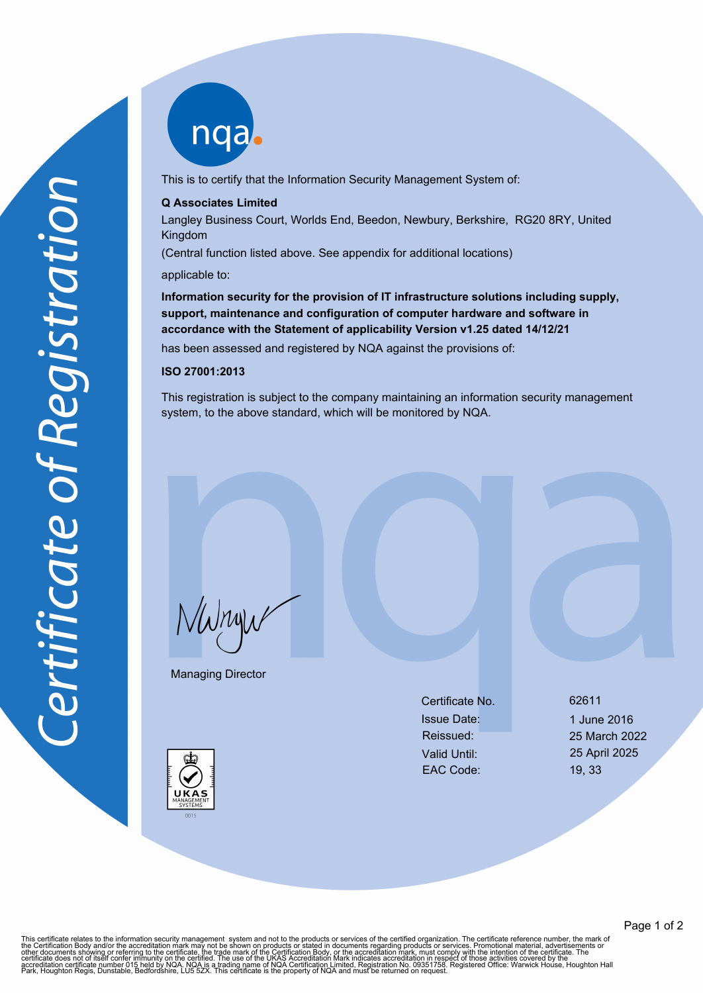nqab

This is to certify that the Information Security Management System of:

## **Q Associates Limited**

Langley Business Court, Worlds End, Beedon, Newbury, Berkshire, RG20 8RY, United Kingdom

(Central function listed above. See appendix for additional locations)

applicable to:

**Information security for the provision of IT infrastructure solutions including supply, support, maintenance and configuration of computer hardware and software in accordance with the Statement of applicability Version v1.25 dated 14/12/21**

has been assessed and registered by NQA against the provisions of:

## **ISO 27001:2013**

This registration is subject to the company maintaining an information security management system, to the above standard, which will be monitored by NQA.

NWnyw

Managing Director

Certificate No. 62611 Issue Date: 1 June 2016 Valid Until: 25 April 2025 EAC Code: 19, 33

Reissued: 25 March 2022



This certificate relates to the information security management system and not to the products or services of the certified organization. The certificate reference number, the mark of<br>the Certification Body and/or the accr

Page 1 of 2